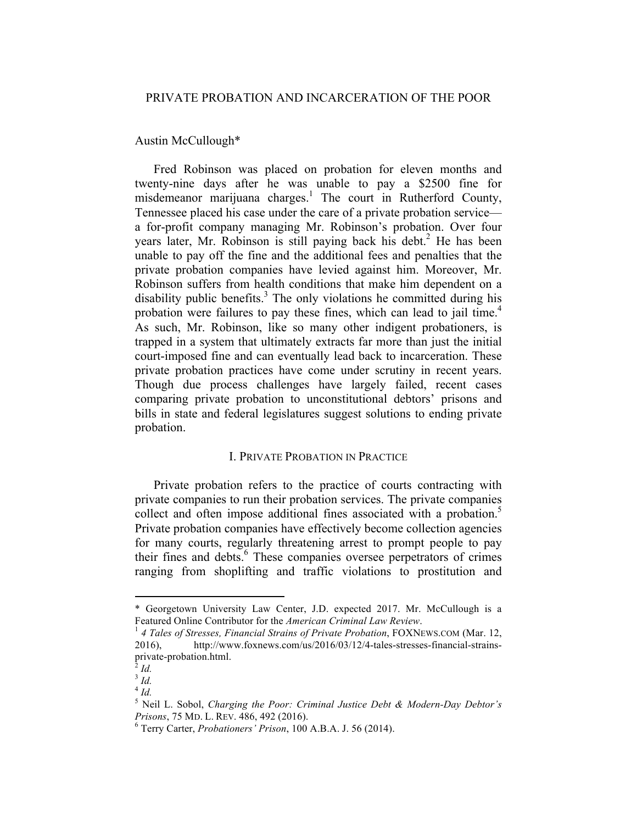## Austin McCullough\*

Fred Robinson was placed on probation for eleven months and twenty-nine days after he was unable to pay a \$2500 fine for misdemeanor marijuana charges.<sup>1</sup> The court in Rutherford County, Tennessee placed his case under the care of a private probation service a for-profit company managing Mr. Robinson's probation. Over four years later, Mr. Robinson is still paying back his debt. <sup>2</sup> He has been unable to pay off the fine and the additional fees and penalties that the private probation companies have levied against him. Moreover, Mr. Robinson suffers from health conditions that make him dependent on a disability public benefits. <sup>3</sup> The only violations he committed during his probation were failures to pay these fines, which can lead to jail time.<sup>4</sup> As such, Mr. Robinson, like so many other indigent probationers, is trapped in a system that ultimately extracts far more than just the initial court-imposed fine and can eventually lead back to incarceration. These private probation practices have come under scrutiny in recent years. Though due process challenges have largely failed, recent cases comparing private probation to unconstitutional debtors' prisons and bills in state and federal legislatures suggest solutions to ending private probation.

## I. PRIVATE PROBATION IN PRACTICE

Private probation refers to the practice of courts contracting with private companies to run their probation services. The private companies collect and often impose additional fines associated with a probation.<sup>5</sup> Private probation companies have effectively become collection agencies for many courts, regularly threatening arrest to prompt people to pay their fines and debts. <sup>6</sup> These companies oversee perpetrators of crimes ranging from shoplifting and traffic violations to prostitution and

 

<sup>\*</sup> Georgetown University Law Center, J.D. expected 2017. Mr. McCullough is a Featured Online Contributor for the *American Criminal Law Review*.<br><sup>1</sup> 4 Tales of Stresses, Financial Strains of Private Probation, FOXNEWS.COM (Mar. 12,

<sup>2016),</sup> http://www.foxnews.com/us/2016/03/12/4-tales-stresses-financial-strainsprivate-probation.html. <sup>2</sup> *Id.*

<sup>3</sup> *Id.*

<sup>4</sup> *Id.*

<sup>5</sup> Neil L. Sobol, *Charging the Poor: Criminal Justice Debt & Modern-Day Debtor's Prisons*, 75 MD. L. REV. 486, 492 (2016). <sup>6</sup> Terry Carter, *Probationers' Prison*, 100 A.B.A. J. <sup>56</sup> (2014).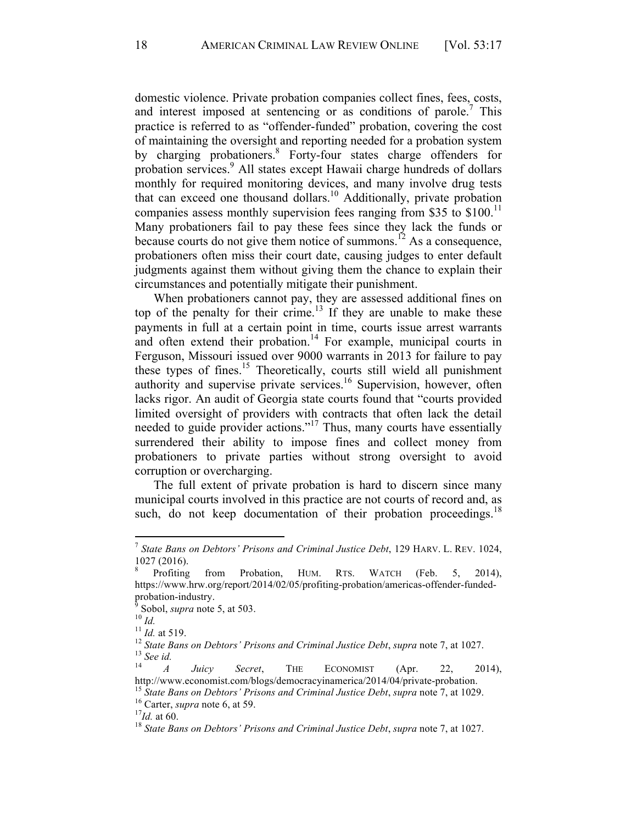domestic violence. Private probation companies collect fines, fees, costs, and interest imposed at sentencing or as conditions of parole.<sup>7</sup> This practice is referred to as "offender-funded" probation, covering the cost of maintaining the oversight and reporting needed for a probation system by charging probationers.<sup>8</sup> Forty-four states charge offenders for probation services.<sup>9</sup> All states except Hawaii charge hundreds of dollars monthly for required monitoring devices, and many involve drug tests that can exceed one thousand dollars.10 Additionally, private probation companies assess monthly supervision fees ranging from \$35 to  $$100$ .<sup>11</sup> Many probationers fail to pay these fees since they lack the funds or because courts do not give them notice of summons.<sup>12</sup> As a consequence, probationers often miss their court date, causing judges to enter default judgments against them without giving them the chance to explain their circumstances and potentially mitigate their punishment.

When probationers cannot pay, they are assessed additional fines on top of the penalty for their crime.<sup>13</sup> If they are unable to make these payments in full at a certain point in time, courts issue arrest warrants and often extend their probation.<sup>14</sup> For example, municipal courts in Ferguson, Missouri issued over 9000 warrants in 2013 for failure to pay these types of fines.<sup>15</sup> Theoretically, courts still wield all punishment authority and supervise private services.<sup>16</sup> Supervision, however, often lacks rigor. An audit of Georgia state courts found that "courts provided limited oversight of providers with contracts that often lack the detail needed to guide provider actions."17 Thus, many courts have essentially surrendered their ability to impose fines and collect money from probationers to private parties without strong oversight to avoid corruption or overcharging.

The full extent of private probation is hard to discern since many municipal courts involved in this practice are not courts of record and, as such, do not keep documentation of their probation proceedings.<sup>18</sup>

 <sup>7</sup> *State Bans on Debtors' Prisons and Criminal Justice Debt*, 129 HARV. L. REV. 1024, 1027 (2016).<br><sup>8</sup> Profiting from Probation, HUM. RTS. WATCH (Feb. 5, 2014),

https://www.hrw.org/report/2014/02/05/profiting-probation/americas-offender-funded-

probation-industry.<br>
<sup>9</sup> Sobol, *supra* note 5, at 503.<br>
<sup>10</sup> *Id.*<br>
<sup>11</sup> *Id.* at 519.<br>
<sup>12</sup> *State Bans on Debtors' Prisons and Criminal Justice Debt, supra* note 7, at 1027.<br>
<sup>13</sup> *See id.*<br>
<sup>14</sup> *A Juicy Secret*,

http://www.economist.com/blogs/democracyinamerica/2014/04/private-probation.<br><sup>15</sup> State Bans on Debtors' Prisons and Criminal Justice Debt, supra note 7, at 1029.<br><sup>16</sup> Carter, supra note 6, at 59.<br><sup>17</sup>Id. at 60.<br><sup>18</sup> State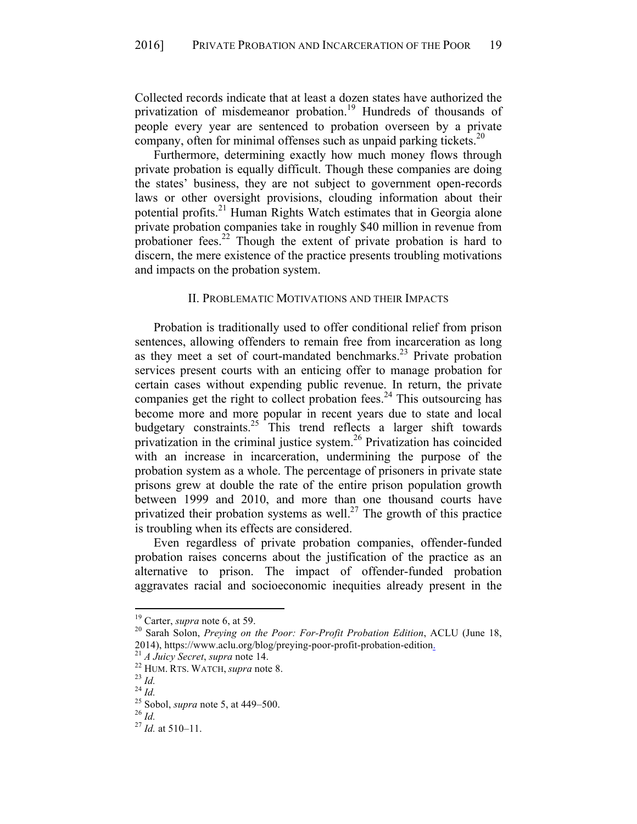Collected records indicate that at least a dozen states have authorized the privatization of misdemeanor probation.<sup>19</sup> Hundreds of thousands of people every year are sentenced to probation overseen by a private company, often for minimal offenses such as unpaid parking tickets.<sup>20</sup>

Furthermore, determining exactly how much money flows through private probation is equally difficult. Though these companies are doing the states' business, they are not subject to government open-records laws or other oversight provisions, clouding information about their potential profits.<sup>21</sup> Human Rights Watch estimates that in Georgia alone private probation companies take in roughly \$40 million in revenue from probationer fees.<sup>22</sup> Though the extent of private probation is hard to discern, the mere existence of the practice presents troubling motivations and impacts on the probation system.

## II. PROBLEMATIC MOTIVATIONS AND THEIR IMPACTS

Probation is traditionally used to offer conditional relief from prison sentences, allowing offenders to remain free from incarceration as long as they meet a set of court-mandated benchmarks.<sup>23</sup> Private probation services present courts with an enticing offer to manage probation for certain cases without expending public revenue. In return, the private companies get the right to collect probation fees.<sup>24</sup> This outsourcing has become more and more popular in recent years due to state and local budgetary constraints.<sup>25</sup> This trend reflects a larger shift towards privatization in the criminal justice system. <sup>26</sup> Privatization has coincided with an increase in incarceration, undermining the purpose of the probation system as a whole. The percentage of prisoners in private state prisons grew at double the rate of the entire prison population growth between 1999 and 2010, and more than one thousand courts have privatized their probation systems as well.<sup>27</sup> The growth of this practice is troubling when its effects are considered.

Even regardless of private probation companies, offender-funded probation raises concerns about the justification of the practice as an alternative to prison. The impact of offender-funded probation aggravates racial and socioeconomic inequities already present in the

<sup>&</sup>lt;sup>19</sup> Carter, *supra* note 6, at 59.<br><sup>20</sup> Sarah Solon, *Preying on the Poor: For-Profit Probation Edition*, ACLU (June 18, 2014), https://www.aclu.org/blog/preying-poor-profit-probation-edition.<br>
<sup>21</sup> *A Juicy Secret, supra* note 14.<br>
<sup>22</sup> HUM. RTS. WATCH, *supra* note 8.<br>
<sup>23</sup> Id.<br>
<sup>24</sup> Id.<br>
<sup>25</sup> Sobol, *supra* note 5, at 449–500.<br>
<sup>26</sup> Id.<br>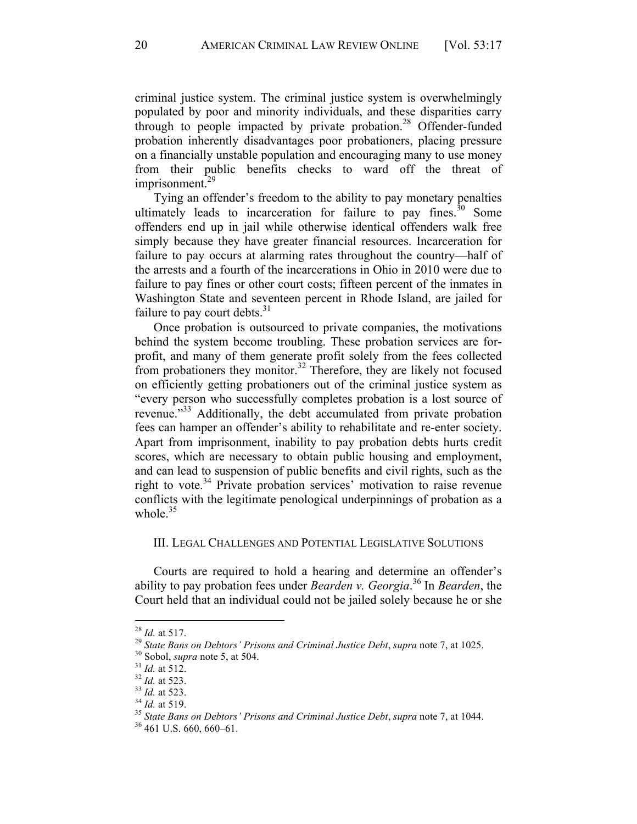criminal justice system. The criminal justice system is overwhelmingly populated by poor and minority individuals, and these disparities carry through to people impacted by private probation.<sup>28</sup> Offender-funded probation inherently disadvantages poor probationers, placing pressure on a financially unstable population and encouraging many to use money from their public benefits checks to ward off the threat of imprisonment.<sup>29</sup>

Tying an offender's freedom to the ability to pay monetary penalties ultimately leads to incarceration for failure to pay fines.<sup>30</sup> Some offenders end up in jail while otherwise identical offenders walk free simply because they have greater financial resources. Incarceration for failure to pay occurs at alarming rates throughout the country—half of the arrests and a fourth of the incarcerations in Ohio in 2010 were due to failure to pay fines or other court costs; fifteen percent of the inmates in Washington State and seventeen percent in Rhode Island, are jailed for failure to pay court debts.<sup>31</sup>

Once probation is outsourced to private companies, the motivations behind the system become troubling. These probation services are forprofit, and many of them generate profit solely from the fees collected from probationers they monitor.<sup>32</sup> Therefore, they are likely not focused on efficiently getting probationers out of the criminal justice system as "every person who successfully completes probation is a lost source of revenue."<sup>33</sup> Additionally, the debt accumulated from private probation fees can hamper an offender's ability to rehabilitate and re-enter society. Apart from imprisonment, inability to pay probation debts hurts credit scores, which are necessary to obtain public housing and employment, and can lead to suspension of public benefits and civil rights, such as the right to vote. <sup>34</sup> Private probation services' motivation to raise revenue conflicts with the legitimate penological underpinnings of probation as a whole. $35$ 

## III. LEGAL CHALLENGES AND POTENTIAL LEGISLATIVE SOLUTIONS

Courts are required to hold a hearing and determine an offender's ability to pay probation fees under *Bearden v. Georgia*. <sup>36</sup> In *Bearden*, the Court held that an individual could not be jailed solely because he or she

<sup>&</sup>lt;sup>28</sup> *Id.* at 517.<br>
<sup>29</sup> *State Bans on Debtors' Prisons and Criminal Justice Debt, supra* note 7, at 1025.<br>
<sup>30</sup> *Sobol, supra* note 5, at 504.<br>
<sup>31</sup> *Id.* at 512.<br>
<sup>32</sup> *Id.* at 523.<br>
<sup>33</sup> *Id.* at 523.<br>
<sup>33</sup> *Id.* at 5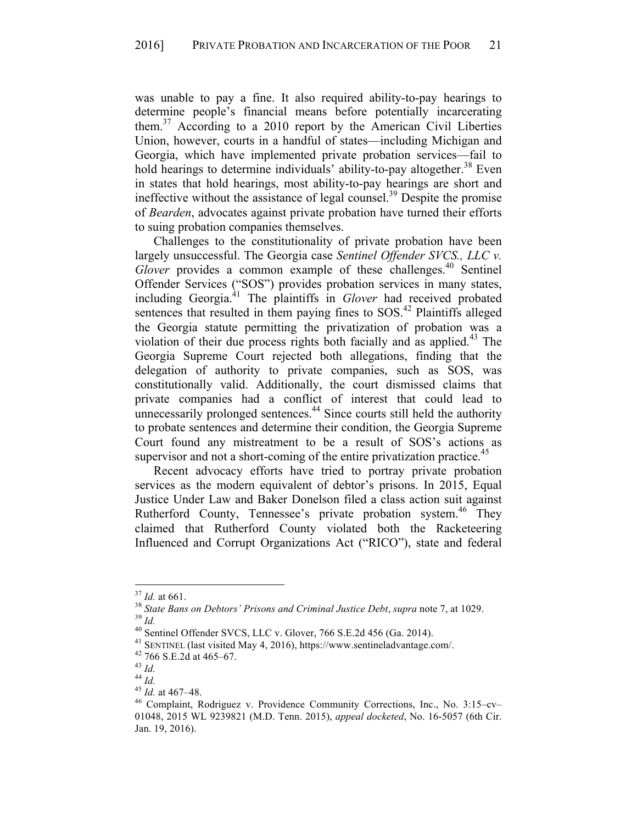was unable to pay a fine. It also required ability-to-pay hearings to determine people's financial means before potentially incarcerating them. <sup>37</sup> According to a 2010 report by the American Civil Liberties Union, however, courts in a handful of states—including Michigan and Georgia, which have implemented private probation services—fail to hold hearings to determine individuals' ability-to-pay altogether.<sup>38</sup> Even in states that hold hearings, most ability-to-pay hearings are short and ineffective without the assistance of legal counsel.<sup>39</sup> Despite the promise of *Bearden*, advocates against private probation have turned their efforts to suing probation companies themselves.

Challenges to the constitutionality of private probation have been largely unsuccessful. The Georgia case *Sentinel Offender SVCS., LLC v.*  Glover provides a common example of these challenges.<sup>40</sup> Sentinel Offender Services ("SOS") provides probation services in many states, including Georgia.41 The plaintiffs in *Glover* had received probated sentences that resulted in them paying fines to SOS.<sup>42</sup> Plaintiffs alleged the Georgia statute permitting the privatization of probation was a violation of their due process rights both facially and as applied.<sup>43</sup> The Georgia Supreme Court rejected both allegations, finding that the delegation of authority to private companies, such as SOS, was constitutionally valid. Additionally, the court dismissed claims that private companies had a conflict of interest that could lead to unnecessarily prolonged sentences. $44$  Since courts still held the authority to probate sentences and determine their condition, the Georgia Supreme Court found any mistreatment to be a result of SOS's actions as supervisor and not a short-coming of the entire privatization practice.<sup>45</sup>

Recent advocacy efforts have tried to portray private probation services as the modern equivalent of debtor's prisons. In 2015, Equal Justice Under Law and Baker Donelson filed a class action suit against Rutherford County, Tennessee's private probation system.<sup>46</sup> They claimed that Rutherford County violated both the Racketeering Influenced and Corrupt Organizations Act ("RICO"), state and federal

<sup>&</sup>lt;sup>37</sup> *Id.* at 661.<br><sup>38</sup> *State Bans on Debtors' Prisons and Criminal Justice Debt, supra note 7, at 1029.*<br><sup>39</sup> *Id.*<br><sup>40</sup> Sentinel Offender SVCS, LLC v. Glover, 766 S.E.2d 456 (Ga. 2014).<br><sup>41</sup> SENTINEL (last visited May

<sup>01048,</sup> 2015 WL 9239821 (M.D. Tenn. 2015), *appeal docketed*, No. 16-5057 (6th Cir. Jan. 19, 2016).